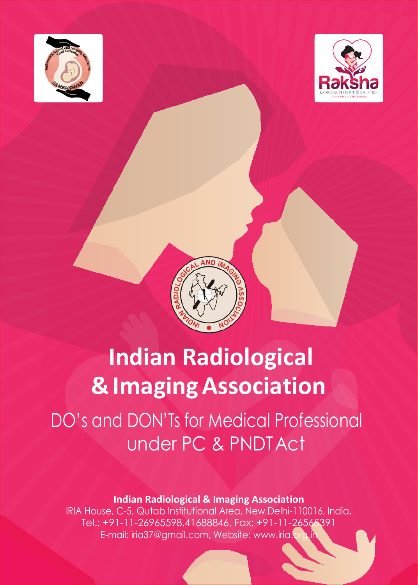





# **Indian Radiological &ImagingAssociation**

DO's and DON'Ts for Medical Professional under PC & PNDTAct

**Indian Radiological & Imaging Association**

IRIA House, C-5, Qutab Institutional Area, New Delhi-110016, India. Tel.: +91-11-26965598,41688846, Fax: +91-11-26565391 E-mail: [iria37@gmail.com, W](mailto:iria37@gmail.com)ebsite[: www.iria.org.in](http://www.iria.org.in/)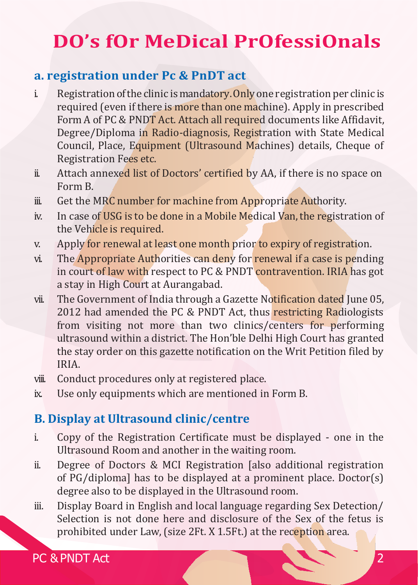# **DO's fOr MeDical PrOfessiOnals**

#### **a. registration under Pc & PnDT act**

- i. Registration of the clinic is mandatory. Only one registration per clinic is required (even if there is more than one machine). Apply in prescribed Form A of PC & PNDT Act. Attach all required documents like Affidavit, Degree/Diploma in Radio-diagnosis, Registration with State Medical Council, Place, Equipment (Ultrasound Machines) details, Cheque of Registration Fees etc.
- ii. Attach annexed list of Doctors' certified by AA, if there is no space on Form B.
- ii. Get the MRC number for machine from Appropriate Authority.
- iv. In case of USG is to be done in a Mobile Medical Van, the registration of the Vehicle is required.
- v. Apply for renewal at least one month prior to expiry of registration.
- vi. The Appropriate Authorities can deny for renewal if a case is pending in court of law with respect to PC & PNDT contravention. IRIA has got a stay in High Court at Aurangabad.
- vii. The Government of India through a Gazette Notification dated June 05, 2012 had amended the PC & PNDT Act, thus restricting Radiologists from visiting not more than two clinics/centers for performing ultrasound within a district. The Hon'ble Delhi High Court has granted the stay order on this gazette notification on the Writ Petition filed by IRIA.
- viii. Conduct procedures only at registered place.
- ix. Use only equipments which are mentioned in Form B.

# **B. Display at Ultrasound clinic/centre**

- i. Copy of the Registration Certificate must be displayed one in the Ultrasound Room and another in the waiting room.
- ii. Degree of Doctors & MCI Registration [also additional registration of PG/diploma] has to be displayed at a prominent place. Doctor(s) degree also to be displayed in the Ultrasound room.
- iii. Display Board in English and local language regarding Sex Detection/ Selection is not done here and disclosure of the Sex of the fetus is prohibited under Law, (size 2Ft. X 1.5Ft.) at the reception area.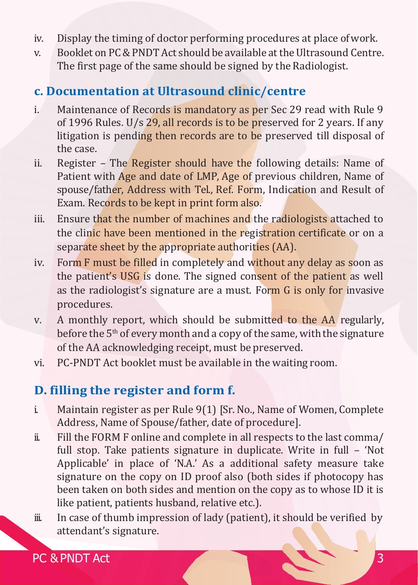- iv. Display the timing of doctor performing procedures at place ofwork.
- v. Booklet on PC&PNDTAct should be available attheUltrasound Centre. The first page of the same should be signed by the Radiologist.

#### **c. Documentation at Ultrasound clinic/centre**

- i. Maintenance of Records is mandatory as per Sec 29 read with Rule 9 of 1996 Rules. U/s 29, all records is to be preserved for 2 years. If any litigation is pending then records are to be preserved till disposal of the case.
- ii. Register The Register should have the following details: Name of Patient with Age and date of LMP, Age of previous children, Name of spouse/father, Address with Tel., Ref. Form, Indication and Result of Exam. Records to be kept in print form also.
- iii. Ensure that the number of machines and the radiologists attached to the clinic have been mentioned in the registration certificate or on a separate sheet by the appropriate authorities (AA).
- iv. Form F must be filled in completely and without any delay as soon as the patient's USG is done. The signed consent of the patient as well as the radiologist's signature are a must. Form G is only for invasive procedures.
- v. A monthly report, which should be submitted to the AA regularly, before the 5<sup>th</sup> of every month and a copy of the same, with the signature of the AA acknowledging receipt, must be preserved.
- vi. PC-PNDT Act booklet must be available in the waiting room.

# **D. filling the register and form f.**

- i. Maintain register as per Rule 9(1) [Sr. No., Name of Women, Complete Address, Name of Spouse/father, date of procedure].
- ii. Fill the FORM F online and complete in all respects to the last comma/ full stop. Take patients signature in duplicate. Write in full – 'Not Applicable' in place of 'N.A.' As a additional safety measure take signature on the copy on ID proof also (both sides if photocopy has been taken on both sides and mention on the copy as to whose ID it is like patient, patients husband, relative etc.).
- iii. In case of thumb impression of lady (patient), it should be verified by attendant's signature.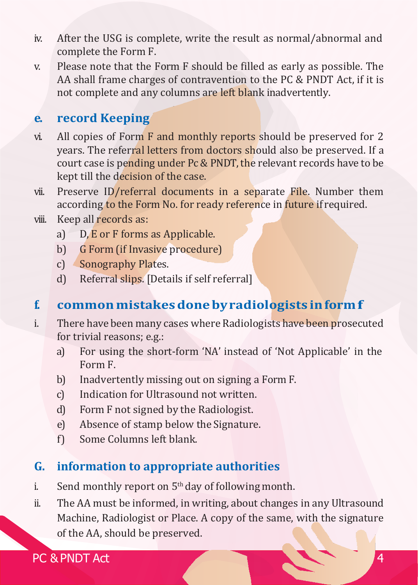- iv. After the USG is complete, write the result as normal/abnormal and complete the Form F.
- v. Please note that the Form F should be filled as early as possible. The AA shall frame charges of contravention to the PC & PNDT Act, if it is not complete and any columns are left blank inadvertently.

#### **e. record Keeping**

- vi. All copies of Form  $\bf{F}$  and monthly reports should be preserved for 2 years. The referral letters from doctors should also be preserved. If a court case is pending under Pc & PNDT, the relevant records have to be kept till the decision of the case.
- vii. Preserve ID/referral documents in a separate File. Number them according to the Form No. for ready reference in future if required.
- viii. Keep all records as:
	- a) D, E or F forms as Applicable.
	- b) G Form (if Invasive procedure)
	- c) Sonography Plates.
	- d) Referral slips. [Details if self referral]

# **f. commonmistakesdonebyradiologists informf**

- i. There have been many cases where Radiologists have been prosecuted for trivial reasons; e.g.:
	- a) For using the short-form 'NA' instead of 'Not Applicable' in the Form F.
	- b) Inadvertently missing out on signing a Form F.
	- c) Indication for Ultrasound not written.
	- d) Form F not signed by the Radiologist.
	- e) Absence of stamp below the Signature.
	- f) Some Columns left blank.

#### **G. information to appropriate authorities**

- i. Send monthly report on  $5<sup>th</sup>$  day of following month.
- ii. The AA must be informed, in writing, about changes in any Ultrasound Machine, Radiologist or Place. A copy of the same, with the signature of the AA, should be preserved.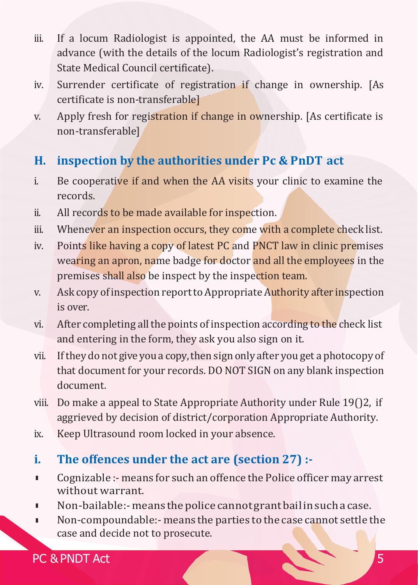- iii. If a locum Radiologist is appointed, the AA must be informed in advance (with the details of the locum Radiologist's registration and State Medical Council certificate).
- iv. Surrender certificate of registration if change in ownership. [As certificate is non-transferable]
- v. Apply fresh for registration if change in ownership. [As certificate is non-transferable]

# **H. inspection by the authorities under Pc & PnDT act**

- i. Be cooperative if and when the AA visits your clinic to examine the records.
- ii. All records to be made available for inspection.
- iii. Whenever an inspection occurs, they come with a complete check list.
- iv. Points like having a copy of latest PC and PNCT law in clinic premises wearing an apron, name badge for doctor and all the employees in the premises shall also be inspect by the inspection team.
- v. Ask copy of inspection report to Appropriate Authority after inspection is over.
- vi. After completing all the points of inspection according to the check list and entering in the form, they ask you also sign on it.
- vii. If they do not give you a copy, then sign only after you get a photocopy of that document for your records. DO NOT SIGN on any blank inspection document.
- viii. Do make a appeal to State Appropriate Authority under Rule 19()2, if aggrieved by decision of district/corporation Appropriate Authority.
- ix. Keep Ultrasound room locked in your absence.

# **i. The offences under the act are (section 27) :-**

- l Cognizable :- means for such an offence the Police officer may arrest without warrant.
- l Non-bailable:-means thepolice cannotgrantbailinsuchacase.
- l Non-compoundable:- means the parties to the case cannot settle the case and decide not to prosecute.